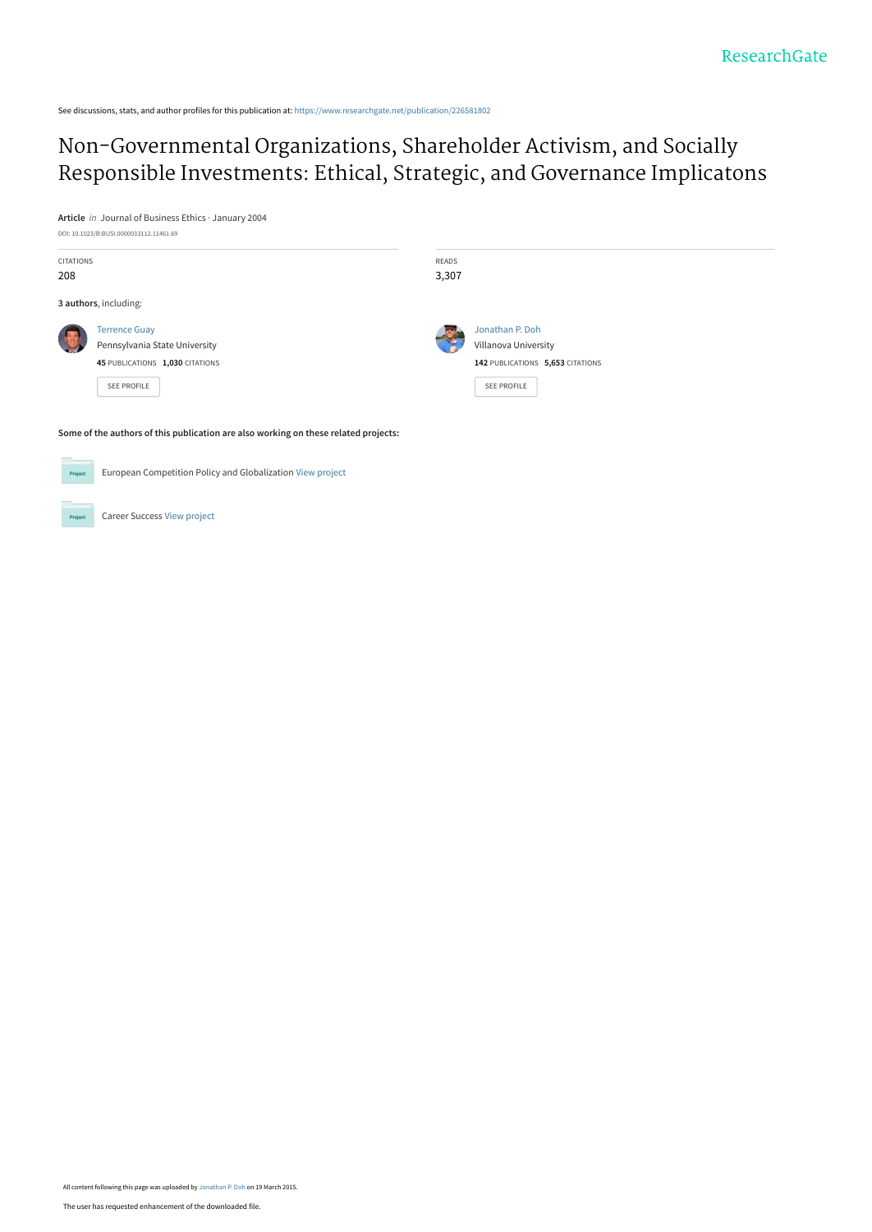See discussions, stats, and author profiles for this publication at: [https://www.researchgate.net/publication/226581802](https://www.researchgate.net/publication/226581802_Non-Governmental_Organizations_Shareholder_Activism_and_Socially_Responsible_Investments_Ethical_Strategic_and_Governance_Implicatons?enrichId=rgreq-850c65463e527a8cb86ae0066949d44d-XXX&enrichSource=Y292ZXJQYWdlOzIyNjU4MTgwMjtBUzoyMDg1OTk0NDQ5MjIzNzJAMTQyNjc0NTM5MTI2NQ%3D%3D&el=1_x_2&_esc=publicationCoverPdf)

# Non-Governmental Organizations, Shareholder Activism, and Socially [Responsible Investments: Ethical, Strategic, and Governance Implicatons](https://www.researchgate.net/publication/226581802_Non-Governmental_Organizations_Shareholder_Activism_and_Socially_Responsible_Investments_Ethical_Strategic_and_Governance_Implicatons?enrichId=rgreq-850c65463e527a8cb86ae0066949d44d-XXX&enrichSource=Y292ZXJQYWdlOzIyNjU4MTgwMjtBUzoyMDg1OTk0NDQ5MjIzNzJAMTQyNjc0NTM5MTI2NQ%3D%3D&el=1_x_3&_esc=publicationCoverPdf)

**Article** in Journal of Business Ethics · January 2004



Career Success [View project](https://www.researchgate.net/project/Career-Success-2?enrichId=rgreq-850c65463e527a8cb86ae0066949d44d-XXX&enrichSource=Y292ZXJQYWdlOzIyNjU4MTgwMjtBUzoyMDg1OTk0NDQ5MjIzNzJAMTQyNjc0NTM5MTI2NQ%3D%3D&el=1_x_9&_esc=publicationCoverPdf)

 $Pro$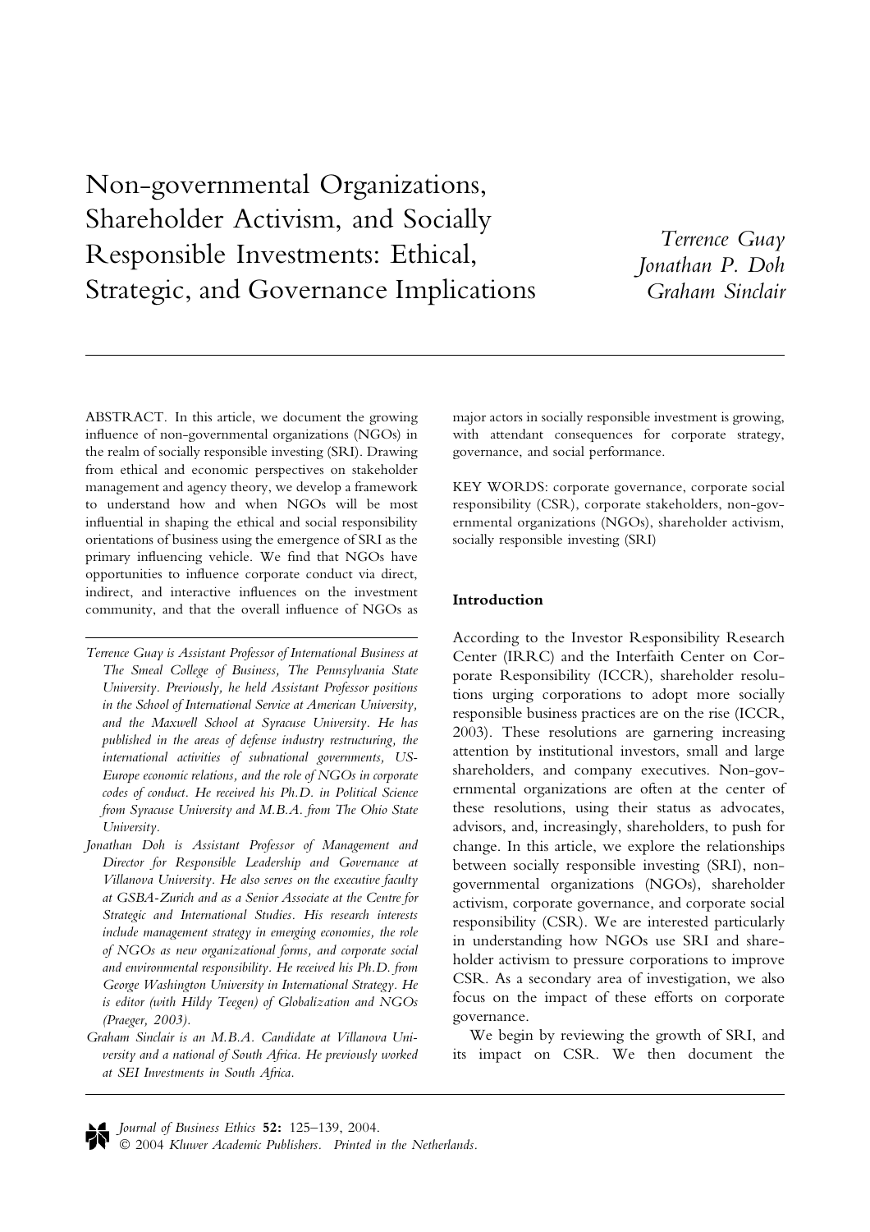Non-governmental Organizations, Shareholder Activism, and Socially Responsible Investments: Ethical, Strategic, and Governance Implications

Terrence Guay Jonathan P. Doh Graham Sinclair

ABSTRACT. In this article, we document the growing influence of non-governmental organizations (NGOs) in the realm of socially responsible investing (SRI). Drawing from ethical and economic perspectives on stakeholder management and agency theory, we develop a framework to understand how and when NGOs will be most influential in shaping the ethical and social responsibility orientations of business using the emergence of SRI as the primary influencing vehicle. We find that NGOs have opportunities to influence corporate conduct via direct, indirect, and interactive influences on the investment community, and that the overall influence of NGOs as

Terrence Guay is Assistant Professor of International Business at The Smeal College of Business, The Pennsylvania State University. Previously, he held Assistant Professor positions in the School of International Service at American University, and the Maxwell School at Syracuse University. He has published in the areas of defense industry restructuring, the international activities of subnational governments, US-Europe economic relations, and the role of NGOs in corporate codes of conduct. He received his Ph.D. in Political Science from Syracuse University and M.B.A. from The Ohio State University.

Jonathan Doh is Assistant Professor of Management and Director for Responsible Leadership and Governance at Villanova University. He also serves on the executive faculty at GSBA-Zurich and as a Senior Associate at the Centre for Strategic and International Studies. His research interests include management strategy in emerging economies, the role of NGOs as new organizational forms, and corporate social and environmental responsibility. He received his Ph.D. from George Washington University in International Strategy. He is editor (with Hildy Teegen) of Globalization and NGOs (Praeger, 2003).

Graham Sinclair is an M.B.A. Candidate at Villanova University and a national of South Africa. He previously worked at SEI Investments in South Africa.

major actors in socially responsible investment is growing, with attendant consequences for corporate strategy, governance, and social performance.

KEY WORDS: corporate governance, corporate social responsibility (CSR), corporate stakeholders, non-governmental organizations (NGOs), shareholder activism, socially responsible investing (SRI)

# Introduction

According to the Investor Responsibility Research Center (IRRC) and the Interfaith Center on Corporate Responsibility (ICCR), shareholder resolutions urging corporations to adopt more socially responsible business practices are on the rise (ICCR, 2003). These resolutions are garnering increasing attention by institutional investors, small and large shareholders, and company executives. Non-governmental organizations are often at the center of these resolutions, using their status as advocates, advisors, and, increasingly, shareholders, to push for change. In this article, we explore the relationships between socially responsible investing (SRI), nongovernmental organizations (NGOs), shareholder activism, corporate governance, and corporate social responsibility (CSR). We are interested particularly in understanding how NGOs use SRI and shareholder activism to pressure corporations to improve CSR. As a secondary area of investigation, we also focus on the impact of these efforts on corporate governance.

We begin by reviewing the growth of SRI, and its impact on CSR. We then document the

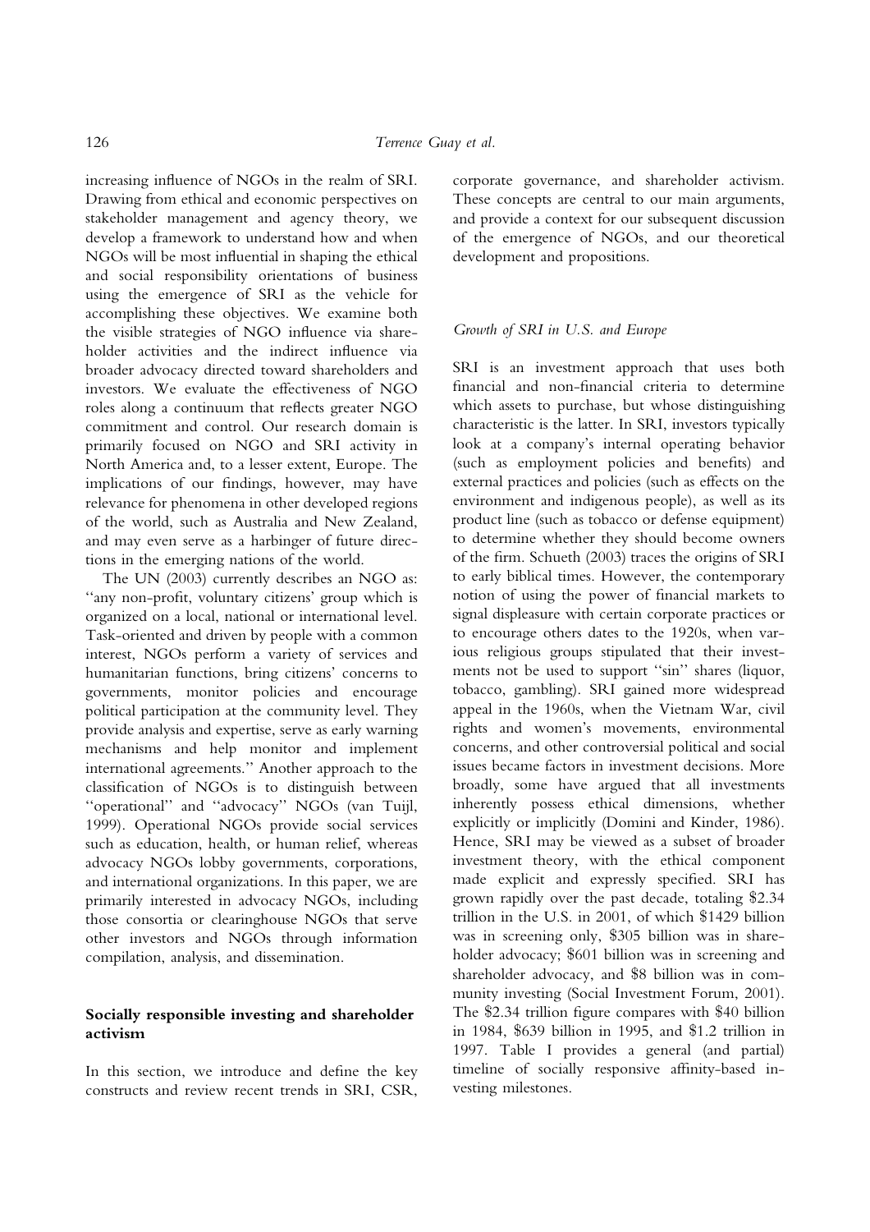increasing influence of NGOs in the realm of SRI. Drawing from ethical and economic perspectives on stakeholder management and agency theory, we develop a framework to understand how and when NGOs will be most influential in shaping the ethical and social responsibility orientations of business using the emergence of SRI as the vehicle for accomplishing these objectives. We examine both the visible strategies of NGO influence via shareholder activities and the indirect influence via broader advocacy directed toward shareholders and investors. We evaluate the effectiveness of NGO roles along a continuum that reflects greater NGO commitment and control. Our research domain is primarily focused on NGO and SRI activity in North America and, to a lesser extent, Europe. The implications of our findings, however, may have relevance for phenomena in other developed regions of the world, such as Australia and New Zealand, and may even serve as a harbinger of future directions in the emerging nations of the world.

The UN (2003) currently describes an NGO as: ''any non-profit, voluntary citizens' group which is organized on a local, national or international level. Task-oriented and driven by people with a common interest, NGOs perform a variety of services and humanitarian functions, bring citizens' concerns to governments, monitor policies and encourage political participation at the community level. They provide analysis and expertise, serve as early warning mechanisms and help monitor and implement international agreements.'' Another approach to the classification of NGOs is to distinguish between ''operational'' and ''advocacy'' NGOs (van Tuijl, 1999). Operational NGOs provide social services such as education, health, or human relief, whereas advocacy NGOs lobby governments, corporations, and international organizations. In this paper, we are primarily interested in advocacy NGOs, including those consortia or clearinghouse NGOs that serve other investors and NGOs through information compilation, analysis, and dissemination.

# Socially responsible investing and shareholder activism

In this section, we introduce and define the key constructs and review recent trends in SRI, CSR,

corporate governance, and shareholder activism. These concepts are central to our main arguments, and provide a context for our subsequent discussion of the emergence of NGOs, and our theoretical development and propositions.

## Growth of SRI in U.S. and Europe

SRI is an investment approach that uses both financial and non-financial criteria to determine which assets to purchase, but whose distinguishing characteristic is the latter. In SRI, investors typically look at a company's internal operating behavior (such as employment policies and benefits) and external practices and policies (such as effects on the environment and indigenous people), as well as its product line (such as tobacco or defense equipment) to determine whether they should become owners of the firm. Schueth (2003) traces the origins of SRI to early biblical times. However, the contemporary notion of using the power of financial markets to signal displeasure with certain corporate practices or to encourage others dates to the 1920s, when various religious groups stipulated that their investments not be used to support ''sin'' shares (liquor, tobacco, gambling). SRI gained more widespread appeal in the 1960s, when the Vietnam War, civil rights and women's movements, environmental concerns, and other controversial political and social issues became factors in investment decisions. More broadly, some have argued that all investments inherently possess ethical dimensions, whether explicitly or implicitly (Domini and Kinder, 1986). Hence, SRI may be viewed as a subset of broader investment theory, with the ethical component made explicit and expressly specified. SRI has grown rapidly over the past decade, totaling \$2.34 trillion in the U.S. in 2001, of which \$1429 billion was in screening only, \$305 billion was in shareholder advocacy; \$601 billion was in screening and shareholder advocacy, and \$8 billion was in community investing (Social Investment Forum, 2001). The \$2.34 trillion figure compares with \$40 billion in 1984, \$639 billion in 1995, and \$1.2 trillion in 1997. Table I provides a general (and partial) timeline of socially responsive affinity-based investing milestones.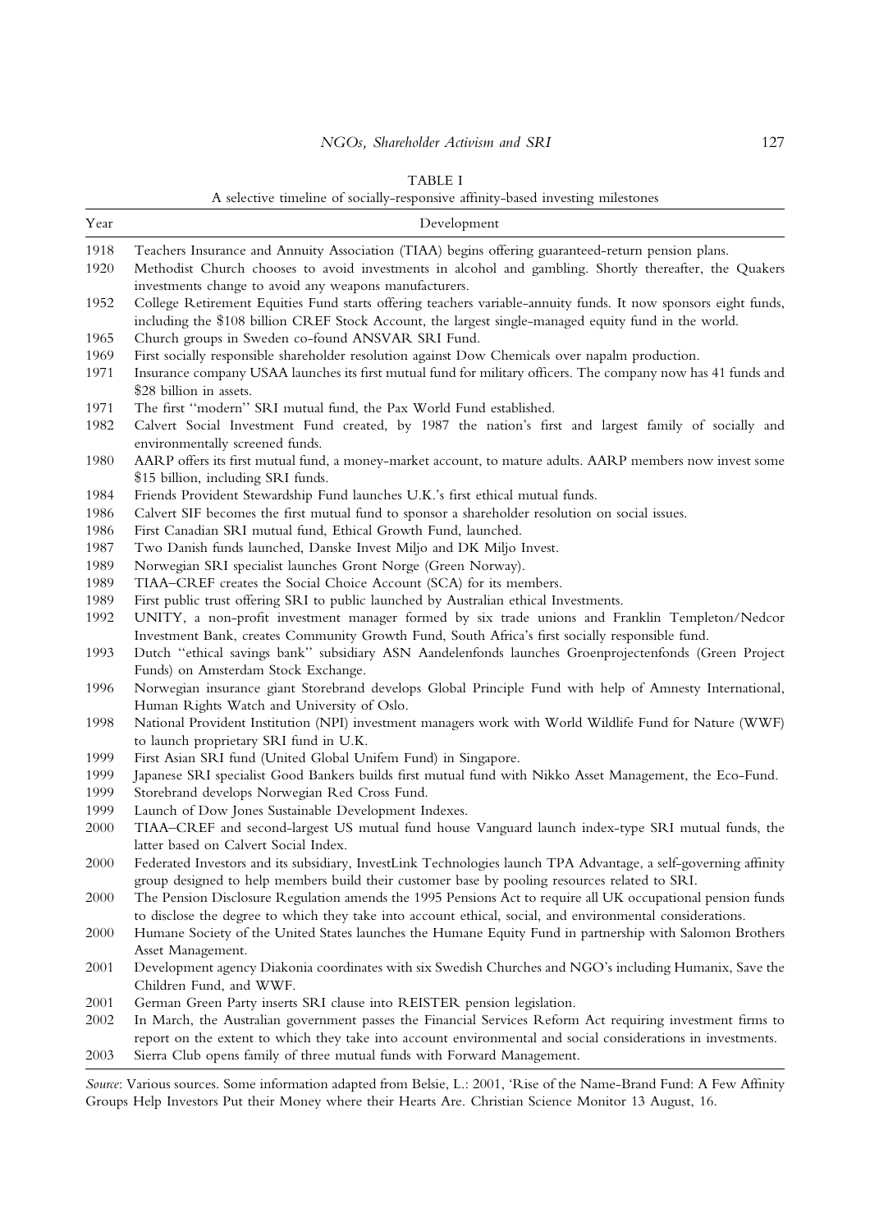### TABLE I

A selective timeline of socially-responsive affinity-based investing milestones

| Year | Development                                                                                                                                                                                                                |
|------|----------------------------------------------------------------------------------------------------------------------------------------------------------------------------------------------------------------------------|
| 1918 | Teachers Insurance and Annuity Association (TIAA) begins offering guaranteed-return pension plans.                                                                                                                         |
| 1920 | Methodist Church chooses to avoid investments in alcohol and gambling. Shortly thereafter, the Quakers<br>investments change to avoid any weapons manufacturers.                                                           |
| 1952 | College Retirement Equities Fund starts offering teachers variable-annuity funds. It now sponsors eight funds,<br>including the \$108 billion CREF Stock Account, the largest single-managed equity fund in the world.     |
| 1965 | Church groups in Sweden co-found ANSVAR SRI Fund.                                                                                                                                                                          |
| 1969 | First socially responsible shareholder resolution against Dow Chemicals over napalm production.                                                                                                                            |
| 1971 | Insurance company USAA launches its first mutual fund for military officers. The company now has 41 funds and<br>\$28 billion in assets.                                                                                   |
| 1971 | The first "modern" SRI mutual fund, the Pax World Fund established.                                                                                                                                                        |
| 1982 | Calvert Social Investment Fund created, by 1987 the nation's first and largest family of socially and<br>environmentally screened funds.                                                                                   |
| 1980 | AARP offers its first mutual fund, a money-market account, to mature adults. AARP members now invest some<br>\$15 billion, including SRI funds.                                                                            |
| 1984 | Friends Provident Stewardship Fund launches U.K.'s first ethical mutual funds.                                                                                                                                             |
| 1986 | Calvert SIF becomes the first mutual fund to sponsor a shareholder resolution on social issues.                                                                                                                            |
| 1986 | First Canadian SRI mutual fund, Ethical Growth Fund, launched.                                                                                                                                                             |
| 1987 | Two Danish funds launched, Danske Invest Miljo and DK Miljo Invest.                                                                                                                                                        |
| 1989 | Norwegian SRI specialist launches Gront Norge (Green Norway).                                                                                                                                                              |
| 1989 | TIAA-CREF creates the Social Choice Account (SCA) for its members.                                                                                                                                                         |
| 1989 | First public trust offering SRI to public launched by Australian ethical Investments.                                                                                                                                      |
| 1992 | UNITY, a non-profit investment manager formed by six trade unions and Franklin Templeton/Nedcor<br>Investment Bank, creates Community Growth Fund, South Africa's first socially responsible fund.                         |
| 1993 | Dutch "ethical savings bank" subsidiary ASN Aandelenfonds launches Groenprojectenfonds (Green Project<br>Funds) on Amsterdam Stock Exchange.                                                                               |
| 1996 | Norwegian insurance giant Storebrand develops Global Principle Fund with help of Amnesty International,<br>Human Rights Watch and University of Oslo.                                                                      |
| 1998 | National Provident Institution (NPI) investment managers work with World Wildlife Fund for Nature (WWF)<br>to launch proprietary SRI fund in U.K.                                                                          |
| 1999 | First Asian SRI fund (United Global Unifem Fund) in Singapore.                                                                                                                                                             |
| 1999 | Japanese SRI specialist Good Bankers builds first mutual fund with Nikko Asset Management, the Eco-Fund.                                                                                                                   |
| 1999 | Storebrand develops Norwegian Red Cross Fund.                                                                                                                                                                              |
| 1999 | Launch of Dow Jones Sustainable Development Indexes.                                                                                                                                                                       |
| 2000 | TIAA-CREF and second-largest US mutual fund house Vanguard launch index-type SRI mutual funds, the<br>latter based on Calvert Social Index.                                                                                |
| 2000 | Federated Investors and its subsidiary, InvestLink Technologies launch TPA Advantage, a self-governing affinity<br>group designed to help members build their customer base by pooling resources related to SRI.           |
| 2000 | The Pension Disclosure Regulation amends the 1995 Pensions Act to require all UK occupational pension funds<br>to disclose the degree to which they take into account ethical, social, and environmental considerations.   |
| 2000 | Humane Society of the United States launches the Humane Equity Fund in partnership with Salomon Brothers<br>Asset Management.                                                                                              |
| 2001 | Development agency Diakonia coordinates with six Swedish Churches and NGO's including Humanix, Save the<br>Children Fund, and WWF.                                                                                         |
| 2001 | German Green Party inserts SRI clause into REISTER pension legislation.                                                                                                                                                    |
| 2002 | In March, the Australian government passes the Financial Services Reform Act requiring investment firms to<br>report on the extent to which they take into account environmental and social considerations in investments. |
| 2003 | Sierra Club opens family of three mutual funds with Forward Management.                                                                                                                                                    |

Source: Various sources. Some information adapted from Belsie, L.: 2001, 'Rise of the Name-Brand Fund: A Few Affinity Groups Help Investors Put their Money where their Hearts Are. Christian Science Monitor 13 August, 16.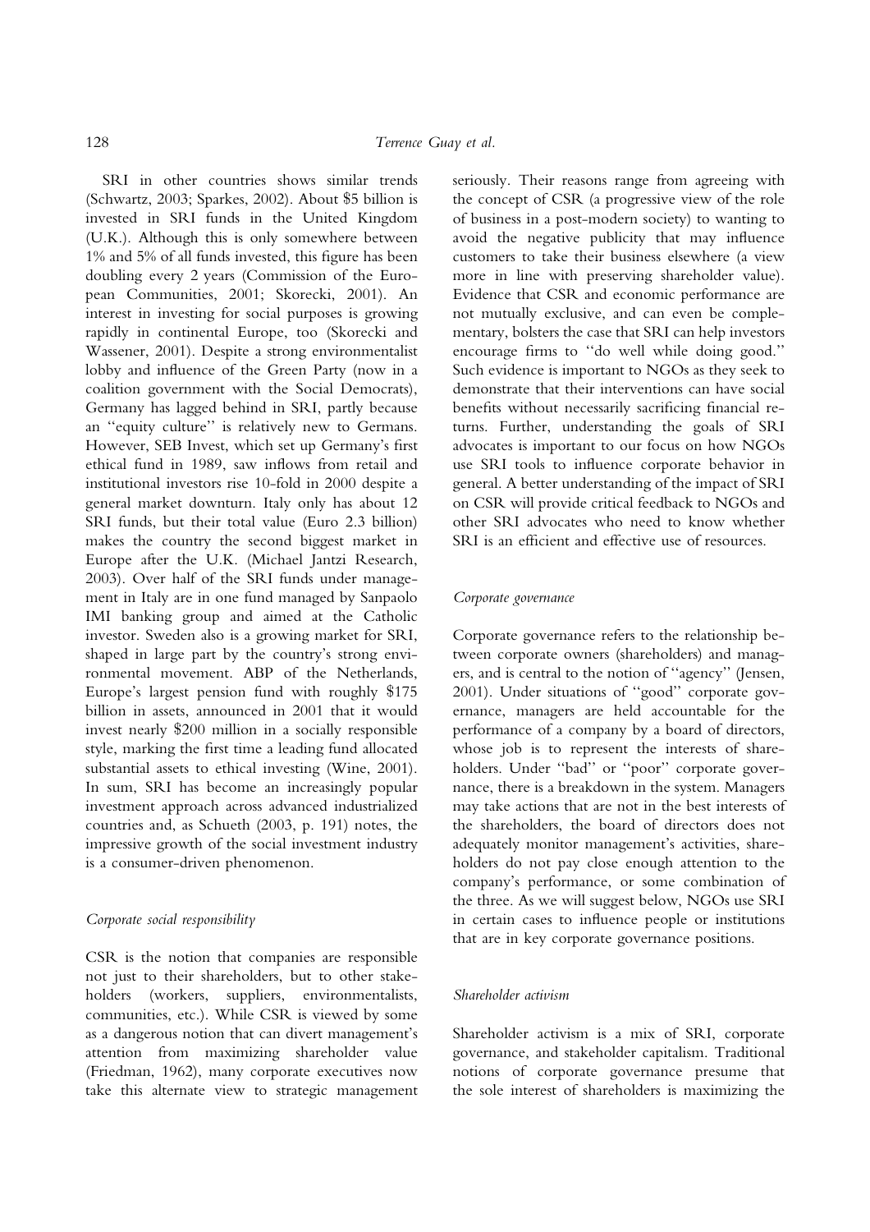SRI in other countries shows similar trends (Schwartz, 2003; Sparkes, 2002). About \$5 billion is invested in SRI funds in the United Kingdom (U.K.). Although this is only somewhere between 1% and 5% of all funds invested, this figure has been doubling every 2 years (Commission of the European Communities, 2001; Skorecki, 2001). An interest in investing for social purposes is growing rapidly in continental Europe, too (Skorecki and Wassener, 2001). Despite a strong environmentalist lobby and influence of the Green Party (now in a coalition government with the Social Democrats), Germany has lagged behind in SRI, partly because an ''equity culture'' is relatively new to Germans. However, SEB Invest, which set up Germany's first ethical fund in 1989, saw inflows from retail and institutional investors rise 10-fold in 2000 despite a general market downturn. Italy only has about 12 SRI funds, but their total value (Euro 2.3 billion) makes the country the second biggest market in Europe after the U.K. (Michael Jantzi Research, 2003). Over half of the SRI funds under management in Italy are in one fund managed by Sanpaolo IMI banking group and aimed at the Catholic investor. Sweden also is a growing market for SRI, shaped in large part by the country's strong environmental movement. ABP of the Netherlands, Europe's largest pension fund with roughly \$175 billion in assets, announced in 2001 that it would invest nearly \$200 million in a socially responsible style, marking the first time a leading fund allocated substantial assets to ethical investing (Wine, 2001). In sum, SRI has become an increasingly popular investment approach across advanced industrialized countries and, as Schueth (2003, p. 191) notes, the impressive growth of the social investment industry is a consumer-driven phenomenon.

## Corporate social responsibility

CSR is the notion that companies are responsible not just to their shareholders, but to other stakeholders (workers, suppliers, environmentalists, communities, etc.). While CSR is viewed by some as a dangerous notion that can divert management's attention from maximizing shareholder value (Friedman, 1962), many corporate executives now take this alternate view to strategic management seriously. Their reasons range from agreeing with the concept of CSR (a progressive view of the role of business in a post-modern society) to wanting to avoid the negative publicity that may influence customers to take their business elsewhere (a view more in line with preserving shareholder value). Evidence that CSR and economic performance are not mutually exclusive, and can even be complementary, bolsters the case that SRI can help investors encourage firms to ''do well while doing good.'' Such evidence is important to NGOs as they seek to demonstrate that their interventions can have social benefits without necessarily sacrificing financial returns. Further, understanding the goals of SRI advocates is important to our focus on how NGOs use SRI tools to influence corporate behavior in general. A better understanding of the impact of SRI on CSR will provide critical feedback to NGOs and other SRI advocates who need to know whether SRI is an efficient and effective use of resources.

#### Corporate governance

Corporate governance refers to the relationship between corporate owners (shareholders) and managers, and is central to the notion of ''agency'' (Jensen, 2001). Under situations of ''good'' corporate governance, managers are held accountable for the performance of a company by a board of directors, whose job is to represent the interests of shareholders. Under "bad" or "poor" corporate governance, there is a breakdown in the system. Managers may take actions that are not in the best interests of the shareholders, the board of directors does not adequately monitor management's activities, shareholders do not pay close enough attention to the company's performance, or some combination of the three. As we will suggest below, NGOs use SRI in certain cases to influence people or institutions that are in key corporate governance positions.

## Shareholder activism

Shareholder activism is a mix of SRI, corporate governance, and stakeholder capitalism. Traditional notions of corporate governance presume that the sole interest of shareholders is maximizing the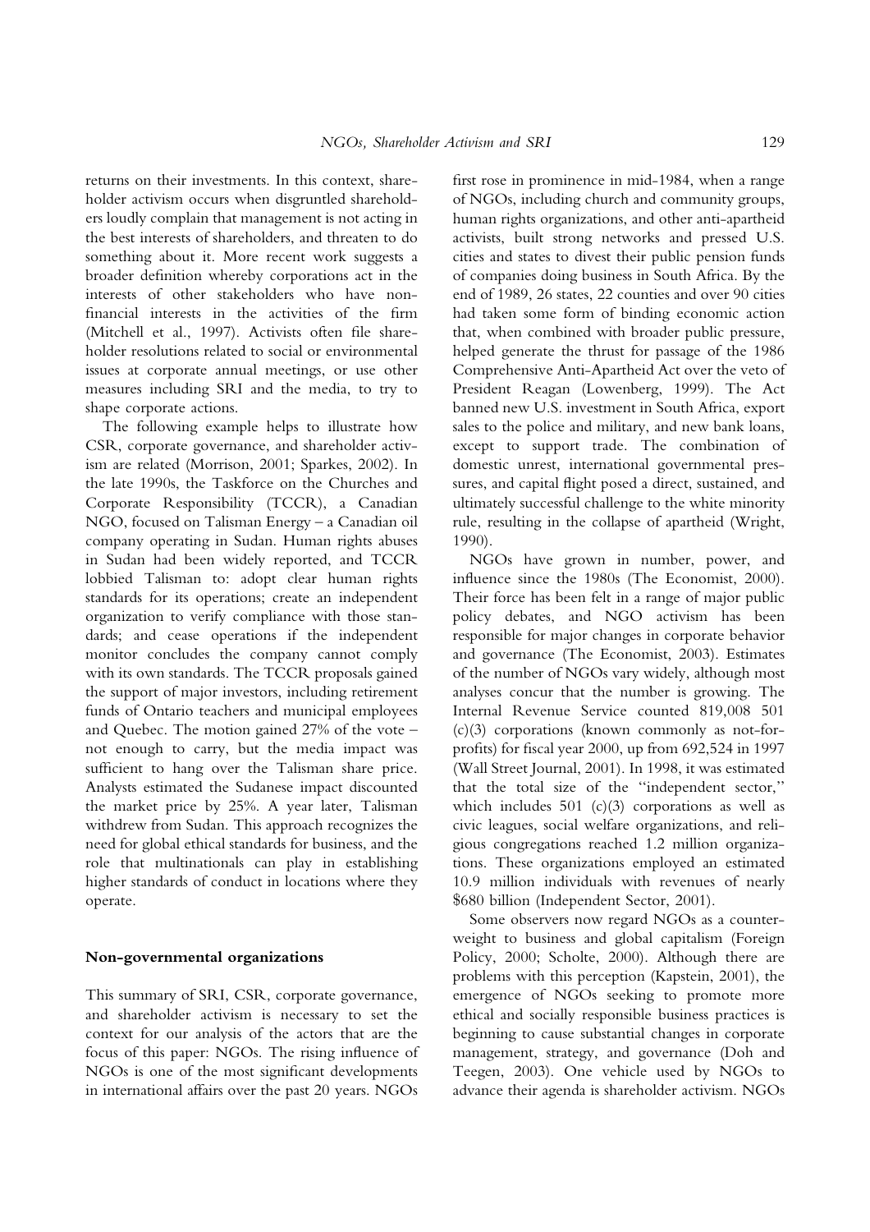returns on their investments. In this context, shareholder activism occurs when disgruntled shareholders loudly complain that management is not acting in the best interests of shareholders, and threaten to do something about it. More recent work suggests a broader definition whereby corporations act in the interests of other stakeholders who have nonfinancial interests in the activities of the firm (Mitchell et al., 1997). Activists often file shareholder resolutions related to social or environmental issues at corporate annual meetings, or use other measures including SRI and the media, to try to shape corporate actions.

The following example helps to illustrate how CSR, corporate governance, and shareholder activism are related (Morrison, 2001; Sparkes, 2002). In the late 1990s, the Taskforce on the Churches and Corporate Responsibility (TCCR), a Canadian NGO, focused on Talisman Energy – a Canadian oil company operating in Sudan. Human rights abuses in Sudan had been widely reported, and TCCR lobbied Talisman to: adopt clear human rights standards for its operations; create an independent organization to verify compliance with those standards; and cease operations if the independent monitor concludes the company cannot comply with its own standards. The TCCR proposals gained the support of major investors, including retirement funds of Ontario teachers and municipal employees and Quebec. The motion gained 27% of the vote – not enough to carry, but the media impact was sufficient to hang over the Talisman share price. Analysts estimated the Sudanese impact discounted the market price by 25%. A year later, Talisman withdrew from Sudan. This approach recognizes the need for global ethical standards for business, and the role that multinationals can play in establishing higher standards of conduct in locations where they operate.

#### Non-governmental organizations

This summary of SRI, CSR, corporate governance, and shareholder activism is necessary to set the context for our analysis of the actors that are the focus of this paper: NGOs. The rising influence of NGOs is one of the most significant developments in international affairs over the past 20 years. NGOs first rose in prominence in mid-1984, when a range of NGOs, including church and community groups, human rights organizations, and other anti-apartheid activists, built strong networks and pressed U.S. cities and states to divest their public pension funds of companies doing business in South Africa. By the end of 1989, 26 states, 22 counties and over 90 cities had taken some form of binding economic action that, when combined with broader public pressure, helped generate the thrust for passage of the 1986 Comprehensive Anti-Apartheid Act over the veto of President Reagan (Lowenberg, 1999). The Act banned new U.S. investment in South Africa, export sales to the police and military, and new bank loans, except to support trade. The combination of domestic unrest, international governmental pressures, and capital flight posed a direct, sustained, and ultimately successful challenge to the white minority rule, resulting in the collapse of apartheid (Wright, 1990).

NGOs have grown in number, power, and influence since the 1980s (The Economist, 2000). Their force has been felt in a range of major public policy debates, and NGO activism has been responsible for major changes in corporate behavior and governance (The Economist, 2003). Estimates of the number of NGOs vary widely, although most analyses concur that the number is growing. The Internal Revenue Service counted 819,008 501  $(c)(3)$  corporations (known commonly as not-forprofits) for fiscal year 2000, up from 692,524 in 1997 (Wall Street Journal, 2001). In 1998, it was estimated that the total size of the ''independent sector,'' which includes  $501$  (c)(3) corporations as well as civic leagues, social welfare organizations, and religious congregations reached 1.2 million organizations. These organizations employed an estimated 10.9 million individuals with revenues of nearly \$680 billion (Independent Sector, 2001).

Some observers now regard NGOs as a counterweight to business and global capitalism (Foreign Policy, 2000; Scholte, 2000). Although there are problems with this perception (Kapstein, 2001), the emergence of NGOs seeking to promote more ethical and socially responsible business practices is beginning to cause substantial changes in corporate management, strategy, and governance (Doh and Teegen, 2003). One vehicle used by NGOs to advance their agenda is shareholder activism. NGOs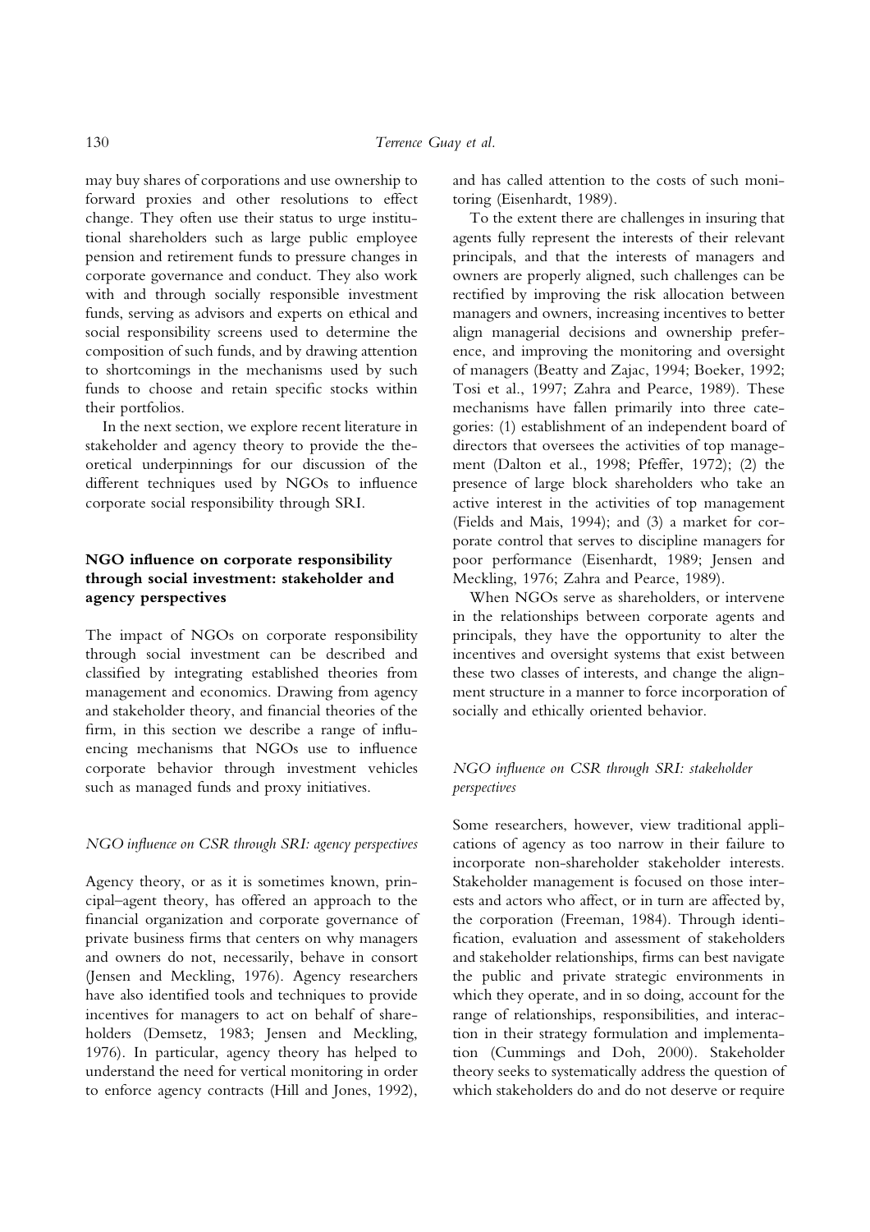may buy shares of corporations and use ownership to forward proxies and other resolutions to effect change. They often use their status to urge institutional shareholders such as large public employee pension and retirement funds to pressure changes in corporate governance and conduct. They also work with and through socially responsible investment funds, serving as advisors and experts on ethical and social responsibility screens used to determine the composition of such funds, and by drawing attention to shortcomings in the mechanisms used by such funds to choose and retain specific stocks within their portfolios.

In the next section, we explore recent literature in stakeholder and agency theory to provide the theoretical underpinnings for our discussion of the different techniques used by NGOs to influence corporate social responsibility through SRI.

# NGO influence on corporate responsibility through social investment: stakeholder and agency perspectives

The impact of NGOs on corporate responsibility through social investment can be described and classified by integrating established theories from management and economics. Drawing from agency and stakeholder theory, and financial theories of the firm, in this section we describe a range of influencing mechanisms that NGOs use to influence corporate behavior through investment vehicles such as managed funds and proxy initiatives.

## NGO influence on CSR through SRI: agency perspectives

Agency theory, or as it is sometimes known, principal–agent theory, has offered an approach to the financial organization and corporate governance of private business firms that centers on why managers and owners do not, necessarily, behave in consort (Jensen and Meckling, 1976). Agency researchers have also identified tools and techniques to provide incentives for managers to act on behalf of shareholders (Demsetz, 1983; Jensen and Meckling, 1976). In particular, agency theory has helped to understand the need for vertical monitoring in order to enforce agency contracts (Hill and Jones, 1992), and has called attention to the costs of such monitoring (Eisenhardt, 1989).

To the extent there are challenges in insuring that agents fully represent the interests of their relevant principals, and that the interests of managers and owners are properly aligned, such challenges can be rectified by improving the risk allocation between managers and owners, increasing incentives to better align managerial decisions and ownership preference, and improving the monitoring and oversight of managers (Beatty and Zajac, 1994; Boeker, 1992; Tosi et al., 1997; Zahra and Pearce, 1989). These mechanisms have fallen primarily into three categories: (1) establishment of an independent board of directors that oversees the activities of top management (Dalton et al., 1998; Pfeffer, 1972); (2) the presence of large block shareholders who take an active interest in the activities of top management (Fields and Mais, 1994); and (3) a market for corporate control that serves to discipline managers for poor performance (Eisenhardt, 1989; Jensen and Meckling, 1976; Zahra and Pearce, 1989).

When NGOs serve as shareholders, or intervene in the relationships between corporate agents and principals, they have the opportunity to alter the incentives and oversight systems that exist between these two classes of interests, and change the alignment structure in a manner to force incorporation of socially and ethically oriented behavior.

# NGO influence on CSR through SRI: stakeholder perspectives

Some researchers, however, view traditional applications of agency as too narrow in their failure to incorporate non-shareholder stakeholder interests. Stakeholder management is focused on those interests and actors who affect, or in turn are affected by, the corporation (Freeman, 1984). Through identification, evaluation and assessment of stakeholders and stakeholder relationships, firms can best navigate the public and private strategic environments in which they operate, and in so doing, account for the range of relationships, responsibilities, and interaction in their strategy formulation and implementation (Cummings and Doh, 2000). Stakeholder theory seeks to systematically address the question of which stakeholders do and do not deserve or require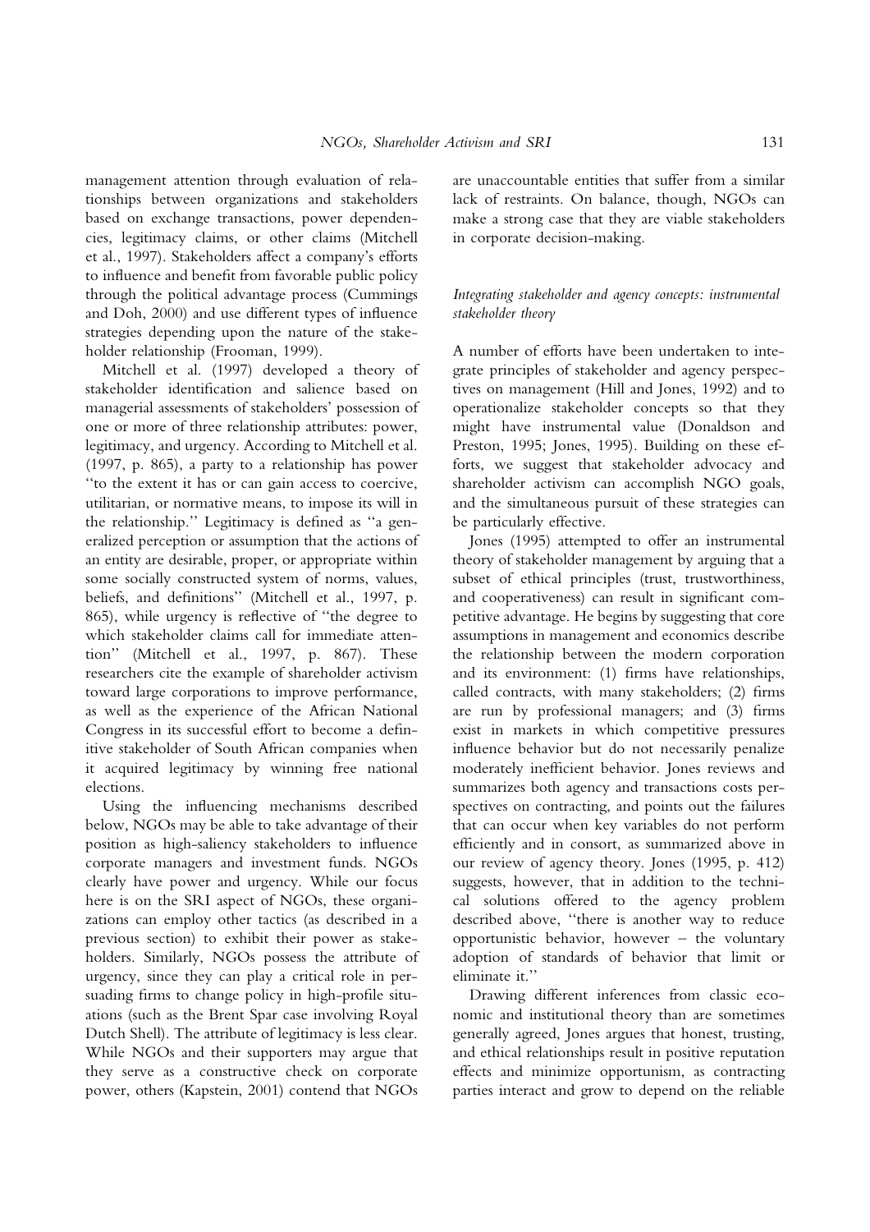management attention through evaluation of relationships between organizations and stakeholders based on exchange transactions, power dependencies, legitimacy claims, or other claims (Mitchell et al., 1997). Stakeholders affect a company's efforts to influence and benefit from favorable public policy through the political advantage process (Cummings and Doh, 2000) and use different types of influence strategies depending upon the nature of the stakeholder relationship (Frooman, 1999).

Mitchell et al. (1997) developed a theory of stakeholder identification and salience based on managerial assessments of stakeholders' possession of one or more of three relationship attributes: power, legitimacy, and urgency. According to Mitchell et al. (1997, p. 865), a party to a relationship has power ''to the extent it has or can gain access to coercive, utilitarian, or normative means, to impose its will in the relationship.'' Legitimacy is defined as ''a generalized perception or assumption that the actions of an entity are desirable, proper, or appropriate within some socially constructed system of norms, values, beliefs, and definitions'' (Mitchell et al., 1997, p. 865), while urgency is reflective of ''the degree to which stakeholder claims call for immediate attention'' (Mitchell et al., 1997, p. 867). These researchers cite the example of shareholder activism toward large corporations to improve performance, as well as the experience of the African National Congress in its successful effort to become a definitive stakeholder of South African companies when it acquired legitimacy by winning free national elections.

Using the influencing mechanisms described below, NGOs may be able to take advantage of their position as high-saliency stakeholders to influence corporate managers and investment funds. NGOs clearly have power and urgency. While our focus here is on the SRI aspect of NGOs, these organizations can employ other tactics (as described in a previous section) to exhibit their power as stakeholders. Similarly, NGOs possess the attribute of urgency, since they can play a critical role in persuading firms to change policy in high-profile situations (such as the Brent Spar case involving Royal Dutch Shell). The attribute of legitimacy is less clear. While NGOs and their supporters may argue that they serve as a constructive check on corporate power, others (Kapstein, 2001) contend that NGOs are unaccountable entities that suffer from a similar lack of restraints. On balance, though, NGOs can make a strong case that they are viable stakeholders in corporate decision-making.

# Integrating stakeholder and agency concepts: instrumental stakeholder theory

A number of efforts have been undertaken to integrate principles of stakeholder and agency perspectives on management (Hill and Jones, 1992) and to operationalize stakeholder concepts so that they might have instrumental value (Donaldson and Preston, 1995; Jones, 1995). Building on these efforts, we suggest that stakeholder advocacy and shareholder activism can accomplish NGO goals, and the simultaneous pursuit of these strategies can be particularly effective.

Jones (1995) attempted to offer an instrumental theory of stakeholder management by arguing that a subset of ethical principles (trust, trustworthiness, and cooperativeness) can result in significant competitive advantage. He begins by suggesting that core assumptions in management and economics describe the relationship between the modern corporation and its environment: (1) firms have relationships, called contracts, with many stakeholders; (2) firms are run by professional managers; and (3) firms exist in markets in which competitive pressures influence behavior but do not necessarily penalize moderately inefficient behavior. Jones reviews and summarizes both agency and transactions costs perspectives on contracting, and points out the failures that can occur when key variables do not perform efficiently and in consort, as summarized above in our review of agency theory. Jones (1995, p. 412) suggests, however, that in addition to the technical solutions offered to the agency problem described above, ''there is another way to reduce opportunistic behavior, however – the voluntary adoption of standards of behavior that limit or eliminate it.''

Drawing different inferences from classic economic and institutional theory than are sometimes generally agreed, Jones argues that honest, trusting, and ethical relationships result in positive reputation effects and minimize opportunism, as contracting parties interact and grow to depend on the reliable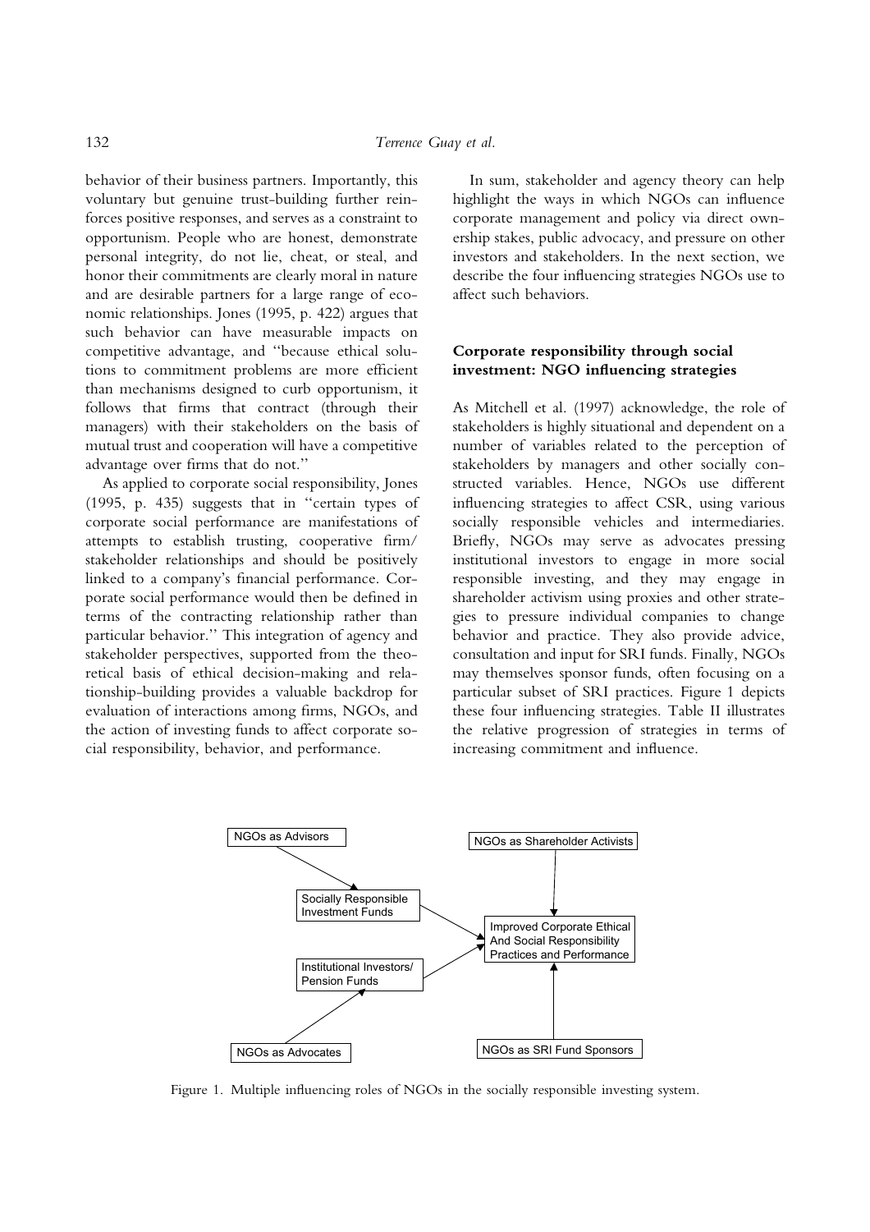behavior of their business partners. Importantly, this voluntary but genuine trust-building further reinforces positive responses, and serves as a constraint to opportunism. People who are honest, demonstrate personal integrity, do not lie, cheat, or steal, and honor their commitments are clearly moral in nature and are desirable partners for a large range of economic relationships. Jones (1995, p. 422) argues that such behavior can have measurable impacts on competitive advantage, and ''because ethical solutions to commitment problems are more efficient than mechanisms designed to curb opportunism, it follows that firms that contract (through their managers) with their stakeholders on the basis of mutual trust and cooperation will have a competitive advantage over firms that do not.''

As applied to corporate social responsibility, Jones (1995, p. 435) suggests that in ''certain types of corporate social performance are manifestations of attempts to establish trusting, cooperative firm/ stakeholder relationships and should be positively linked to a company's financial performance. Corporate social performance would then be defined in terms of the contracting relationship rather than particular behavior.'' This integration of agency and stakeholder perspectives, supported from the theoretical basis of ethical decision-making and relationship-building provides a valuable backdrop for evaluation of interactions among firms, NGOs, and the action of investing funds to affect corporate social responsibility, behavior, and performance.

In sum, stakeholder and agency theory can help highlight the ways in which NGOs can influence corporate management and policy via direct ownership stakes, public advocacy, and pressure on other investors and stakeholders. In the next section, we describe the four influencing strategies NGOs use to affect such behaviors.

# Corporate responsibility through social investment: NGO influencing strategies

As Mitchell et al. (1997) acknowledge, the role of stakeholders is highly situational and dependent on a number of variables related to the perception of stakeholders by managers and other socially constructed variables. Hence, NGOs use different influencing strategies to affect CSR, using various socially responsible vehicles and intermediaries. Briefly, NGOs may serve as advocates pressing institutional investors to engage in more social responsible investing, and they may engage in shareholder activism using proxies and other strategies to pressure individual companies to change behavior and practice. They also provide advice, consultation and input for SRI funds. Finally, NGOs may themselves sponsor funds, often focusing on a particular subset of SRI practices. Figure 1 depicts these four influencing strategies. Table II illustrates the relative progression of strategies in terms of increasing commitment and influence.



Figure 1. Multiple influencing roles of NGOs in the socially responsible investing system.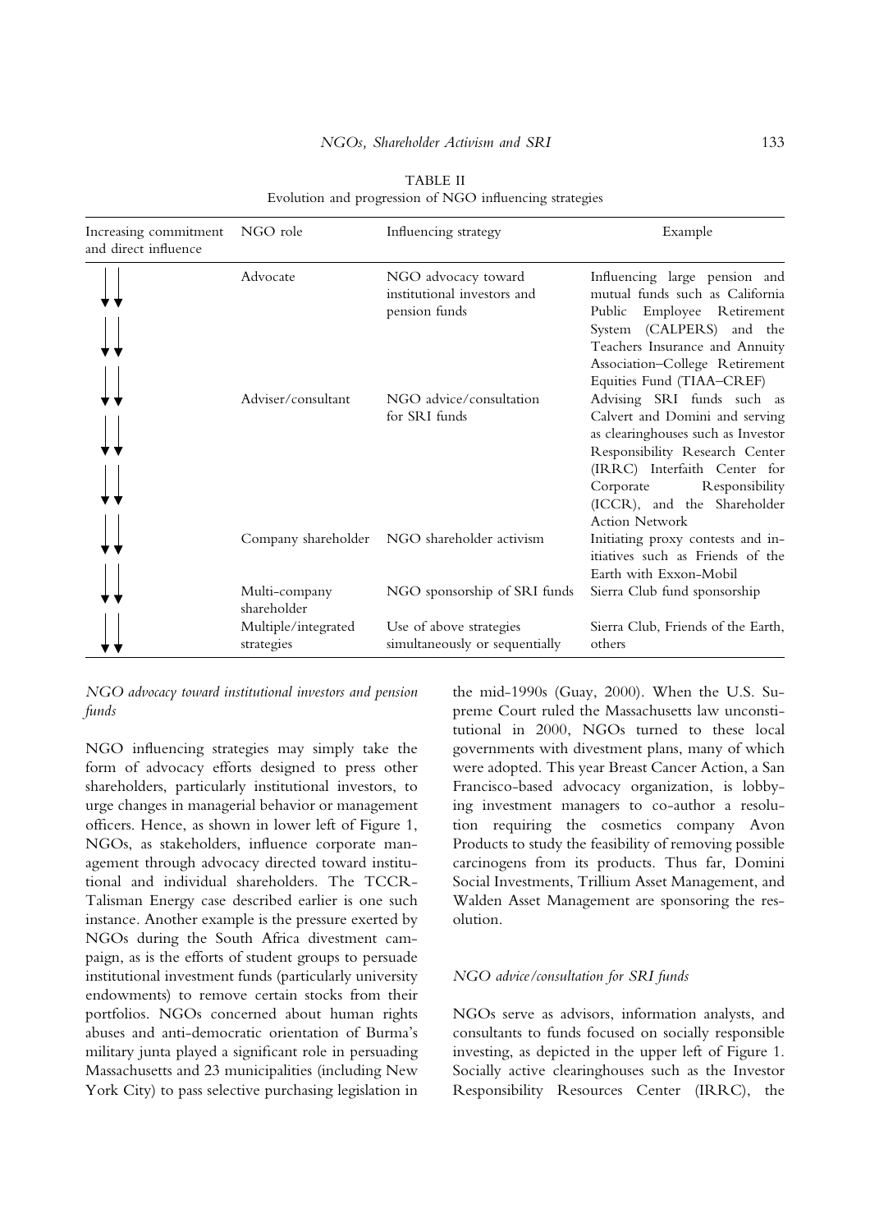## NGOs, Shareholder Activism and SRI 133

| Increasing commitment<br>and direct influence | NGO role                          | Influencing strategy                                                | Example                                                                                                                                                                                                                                                     |
|-----------------------------------------------|-----------------------------------|---------------------------------------------------------------------|-------------------------------------------------------------------------------------------------------------------------------------------------------------------------------------------------------------------------------------------------------------|
|                                               | Advocate                          | NGO advocacy toward<br>institutional investors and<br>pension funds | Influencing large pension and<br>mutual funds such as California<br>Employee Retirement<br>Public<br>System (CALPERS) and the<br>Teachers Insurance and Annuity<br>Association-College Retirement<br>Equities Fund (TIAA-CREF)                              |
|                                               | Adviser/consultant                | NGO advice/consultation<br>for SRI funds                            | Advising SRI funds such as<br>Calvert and Domini and serving<br>as clearinghouses such as Investor<br>Responsibility Research Center<br>(IRRC) Interfaith Center for<br>Responsibility<br>Corporate<br>(ICCR), and the Shareholder<br><b>Action Network</b> |
|                                               |                                   |                                                                     | Initiating proxy contests and in-<br>itiatives such as Friends of the<br>Earth with Exxon-Mobil                                                                                                                                                             |
|                                               | Multi-company<br>shareholder      | NGO sponsorship of SRI funds                                        | Sierra Club fund sponsorship                                                                                                                                                                                                                                |
|                                               | Multiple/integrated<br>strategies | Use of above strategies<br>simultaneously or sequentially           | Sierra Club, Friends of the Earth,<br>others                                                                                                                                                                                                                |

TABLE II Evolution and progression of NGO influencing strategies

NGO advocacy toward institutional investors and pension funds

NGO influencing strategies may simply take the form of advocacy efforts designed to press other shareholders, particularly institutional investors, to urge changes in managerial behavior or management officers. Hence, as shown in lower left of Figure 1, NGOs, as stakeholders, influence corporate management through advocacy directed toward institutional and individual shareholders. The TCCR-Talisman Energy case described earlier is one such instance. Another example is the pressure exerted by NGOs during the South Africa divestment campaign, as is the efforts of student groups to persuade institutional investment funds (particularly university endowments) to remove certain stocks from their portfolios. NGOs concerned about human rights abuses and anti-democratic orientation of Burma's military junta played a significant role in persuading Massachusetts and 23 municipalities (including New York City) to pass selective purchasing legislation in

the mid-1990s (Guay, 2000). When the U.S. Supreme Court ruled the Massachusetts law unconstitutional in 2000, NGOs turned to these local governments with divestment plans, many of which were adopted. This year Breast Cancer Action, a San Francisco-based advocacy organization, is lobbying investment managers to co-author a resolution requiring the cosmetics company Avon Products to study the feasibility of removing possible carcinogens from its products. Thus far, Domini Social Investments, Trillium Asset Management, and Walden Asset Management are sponsoring the resolution.

## NGO advice/consultation for SRI funds

NGOs serve as advisors, information analysts, and consultants to funds focused on socially responsible investing, as depicted in the upper left of Figure 1. Socially active clearinghouses such as the Investor Responsibility Resources Center (IRRC), the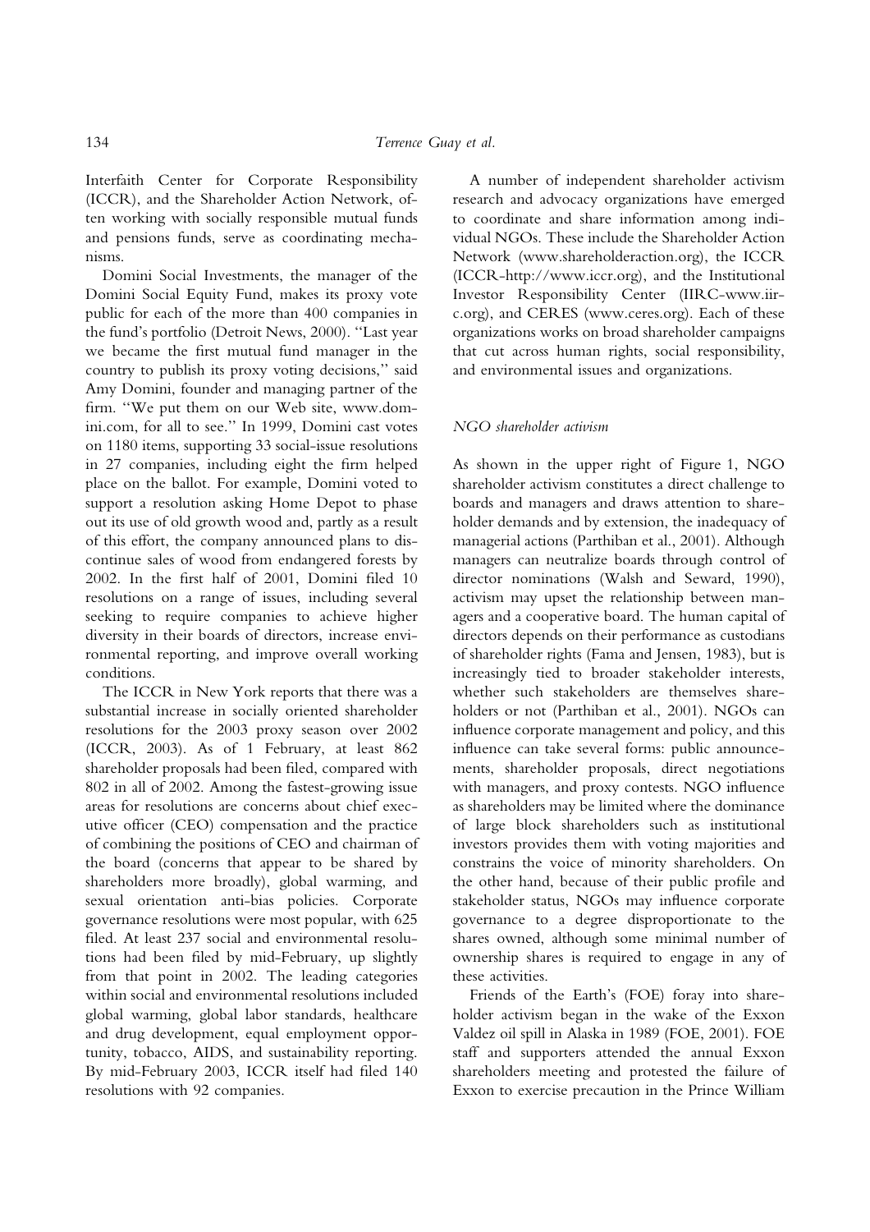Interfaith Center for Corporate Responsibility (ICCR), and the Shareholder Action Network, often working with socially responsible mutual funds and pensions funds, serve as coordinating mechanisms.

Domini Social Investments, the manager of the Domini Social Equity Fund, makes its proxy vote public for each of the more than 400 companies in the fund's portfolio (Detroit News, 2000). ''Last year we became the first mutual fund manager in the country to publish its proxy voting decisions,'' said Amy Domini, founder and managing partner of the firm. ''We put them on our Web site, www.domini.com, for all to see.'' In 1999, Domini cast votes on 1180 items, supporting 33 social-issue resolutions in 27 companies, including eight the firm helped place on the ballot. For example, Domini voted to support a resolution asking Home Depot to phase out its use of old growth wood and, partly as a result of this effort, the company announced plans to discontinue sales of wood from endangered forests by 2002. In the first half of 2001, Domini filed 10 resolutions on a range of issues, including several seeking to require companies to achieve higher diversity in their boards of directors, increase environmental reporting, and improve overall working conditions.

The ICCR in New York reports that there was a substantial increase in socially oriented shareholder resolutions for the 2003 proxy season over 2002 (ICCR, 2003). As of 1 February, at least 862 shareholder proposals had been filed, compared with 802 in all of 2002. Among the fastest-growing issue areas for resolutions are concerns about chief executive officer (CEO) compensation and the practice of combining the positions of CEO and chairman of the board (concerns that appear to be shared by shareholders more broadly), global warming, and sexual orientation anti-bias policies. Corporate governance resolutions were most popular, with 625 filed. At least 237 social and environmental resolutions had been filed by mid-February, up slightly from that point in 2002. The leading categories within social and environmental resolutions included global warming, global labor standards, healthcare and drug development, equal employment opportunity, tobacco, AIDS, and sustainability reporting. By mid-February 2003, ICCR itself had filed 140 resolutions with 92 companies.

A number of independent shareholder activism research and advocacy organizations have emerged to coordinate and share information among individual NGOs. These include the Shareholder Action Network (www.shareholderaction.org), the ICCR (ICCR-http://www.iccr.org), and the Institutional Investor Responsibility Center (IIRC-www.iirc.org), and CERES (www.ceres.org). Each of these organizations works on broad shareholder campaigns that cut across human rights, social responsibility, and environmental issues and organizations.

## NGO shareholder activism

As shown in the upper right of Figure 1, NGO shareholder activism constitutes a direct challenge to boards and managers and draws attention to shareholder demands and by extension, the inadequacy of managerial actions (Parthiban et al., 2001). Although managers can neutralize boards through control of director nominations (Walsh and Seward, 1990), activism may upset the relationship between managers and a cooperative board. The human capital of directors depends on their performance as custodians of shareholder rights (Fama and Jensen, 1983), but is increasingly tied to broader stakeholder interests, whether such stakeholders are themselves shareholders or not (Parthiban et al., 2001). NGOs can influence corporate management and policy, and this influence can take several forms: public announcements, shareholder proposals, direct negotiations with managers, and proxy contests. NGO influence as shareholders may be limited where the dominance of large block shareholders such as institutional investors provides them with voting majorities and constrains the voice of minority shareholders. On the other hand, because of their public profile and stakeholder status, NGOs may influence corporate governance to a degree disproportionate to the shares owned, although some minimal number of ownership shares is required to engage in any of these activities.

Friends of the Earth's (FOE) foray into shareholder activism began in the wake of the Exxon Valdez oil spill in Alaska in 1989 (FOE, 2001). FOE staff and supporters attended the annual Exxon shareholders meeting and protested the failure of Exxon to exercise precaution in the Prince William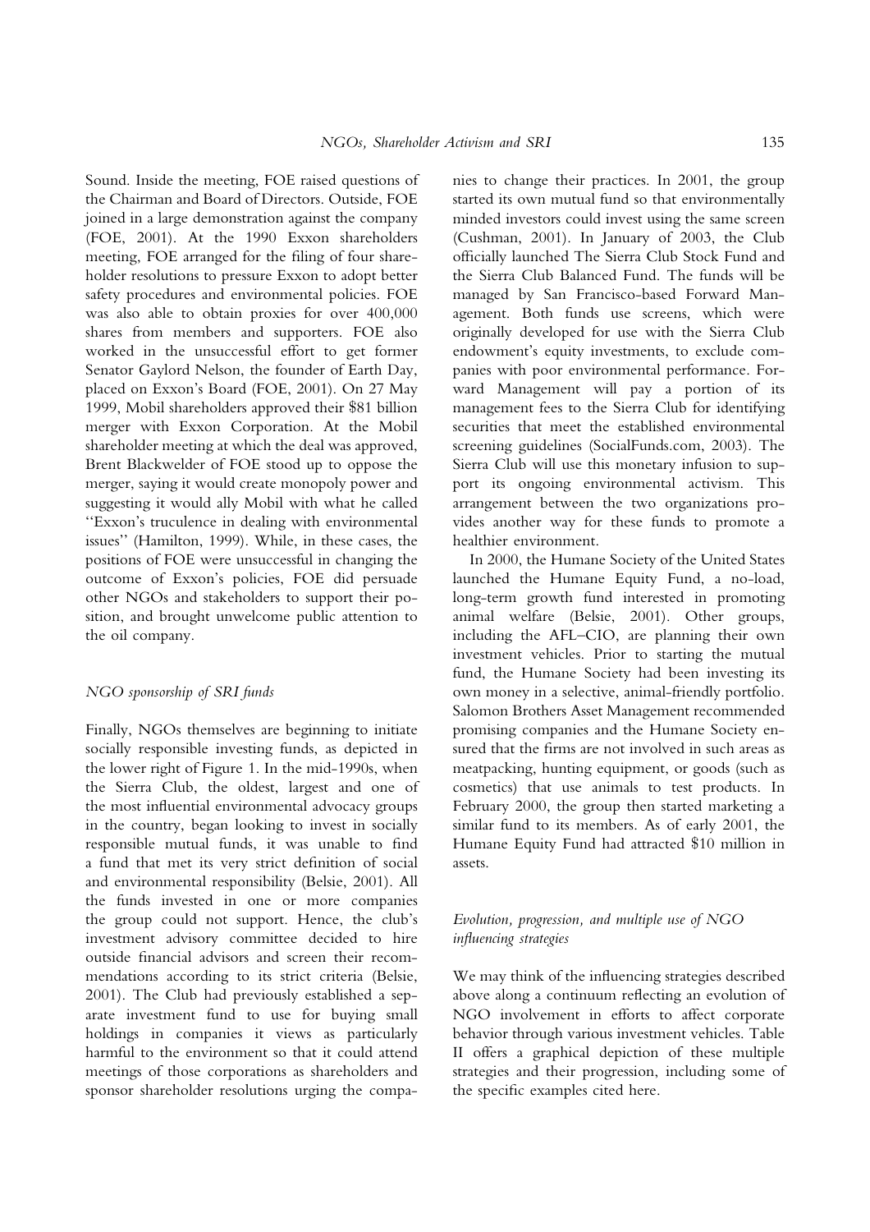Sound. Inside the meeting, FOE raised questions of the Chairman and Board of Directors. Outside, FOE joined in a large demonstration against the company (FOE, 2001). At the 1990 Exxon shareholders meeting, FOE arranged for the filing of four shareholder resolutions to pressure Exxon to adopt better safety procedures and environmental policies. FOE was also able to obtain proxies for over 400,000 shares from members and supporters. FOE also worked in the unsuccessful effort to get former Senator Gaylord Nelson, the founder of Earth Day, placed on Exxon's Board (FOE, 2001). On 27 May 1999, Mobil shareholders approved their \$81 billion merger with Exxon Corporation. At the Mobil shareholder meeting at which the deal was approved, Brent Blackwelder of FOE stood up to oppose the merger, saying it would create monopoly power and suggesting it would ally Mobil with what he called ''Exxon's truculence in dealing with environmental issues'' (Hamilton, 1999). While, in these cases, the positions of FOE were unsuccessful in changing the outcome of Exxon's policies, FOE did persuade other NGOs and stakeholders to support their position, and brought unwelcome public attention to the oil company.

#### NGO sponsorship of SRI funds

Finally, NGOs themselves are beginning to initiate socially responsible investing funds, as depicted in the lower right of Figure 1. In the mid-1990s, when the Sierra Club, the oldest, largest and one of the most influential environmental advocacy groups in the country, began looking to invest in socially responsible mutual funds, it was unable to find a fund that met its very strict definition of social and environmental responsibility (Belsie, 2001). All the funds invested in one or more companies the group could not support. Hence, the club's investment advisory committee decided to hire outside financial advisors and screen their recommendations according to its strict criteria (Belsie, 2001). The Club had previously established a separate investment fund to use for buying small holdings in companies it views as particularly harmful to the environment so that it could attend meetings of those corporations as shareholders and sponsor shareholder resolutions urging the companies to change their practices. In 2001, the group started its own mutual fund so that environmentally minded investors could invest using the same screen (Cushman, 2001). In January of 2003, the Club officially launched The Sierra Club Stock Fund and the Sierra Club Balanced Fund. The funds will be managed by San Francisco-based Forward Management. Both funds use screens, which were originally developed for use with the Sierra Club endowment's equity investments, to exclude companies with poor environmental performance. Forward Management will pay a portion of its management fees to the Sierra Club for identifying securities that meet the established environmental screening guidelines (SocialFunds.com, 2003). The Sierra Club will use this monetary infusion to support its ongoing environmental activism. This arrangement between the two organizations provides another way for these funds to promote a healthier environment.

In 2000, the Humane Society of the United States launched the Humane Equity Fund, a no-load, long-term growth fund interested in promoting animal welfare (Belsie, 2001). Other groups, including the AFL–CIO, are planning their own investment vehicles. Prior to starting the mutual fund, the Humane Society had been investing its own money in a selective, animal-friendly portfolio. Salomon Brothers Asset Management recommended promising companies and the Humane Society ensured that the firms are not involved in such areas as meatpacking, hunting equipment, or goods (such as cosmetics) that use animals to test products. In February 2000, the group then started marketing a similar fund to its members. As of early 2001, the Humane Equity Fund had attracted \$10 million in assets.

# Evolution, progression, and multiple use of NGO influencing strategies

We may think of the influencing strategies described above along a continuum reflecting an evolution of NGO involvement in efforts to affect corporate behavior through various investment vehicles. Table II offers a graphical depiction of these multiple strategies and their progression, including some of the specific examples cited here.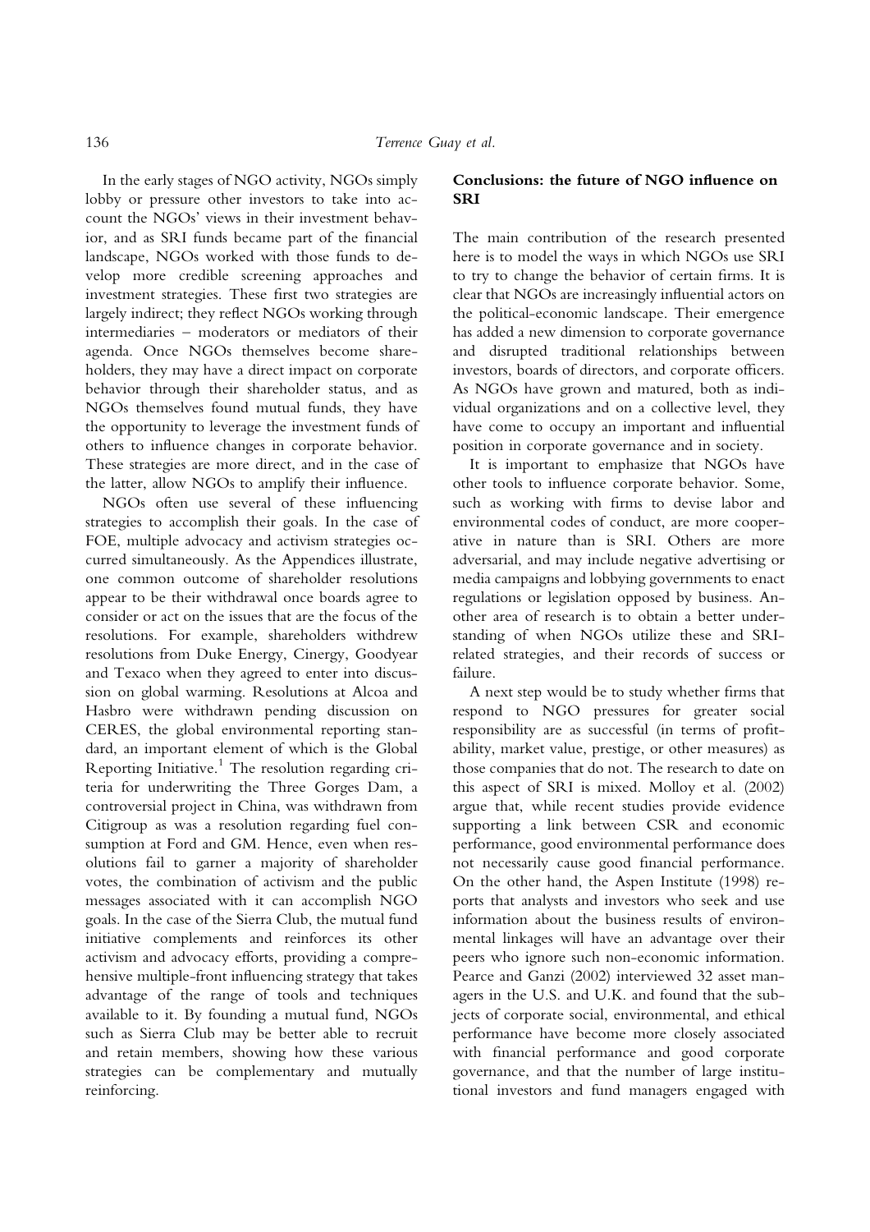In the early stages of NGO activity, NGOs simply lobby or pressure other investors to take into account the NGOs' views in their investment behavior, and as SRI funds became part of the financial landscape, NGOs worked with those funds to develop more credible screening approaches and investment strategies. These first two strategies are largely indirect; they reflect NGOs working through intermediaries – moderators or mediators of their agenda. Once NGOs themselves become shareholders, they may have a direct impact on corporate behavior through their shareholder status, and as NGOs themselves found mutual funds, they have the opportunity to leverage the investment funds of others to influence changes in corporate behavior. These strategies are more direct, and in the case of the latter, allow NGOs to amplify their influence.

NGOs often use several of these influencing strategies to accomplish their goals. In the case of FOE, multiple advocacy and activism strategies occurred simultaneously. As the Appendices illustrate, one common outcome of shareholder resolutions appear to be their withdrawal once boards agree to consider or act on the issues that are the focus of the resolutions. For example, shareholders withdrew resolutions from Duke Energy, Cinergy, Goodyear and Texaco when they agreed to enter into discussion on global warming. Resolutions at Alcoa and Hasbro were withdrawn pending discussion on CERES, the global environmental reporting standard, an important element of which is the Global Reporting Initiative.<sup>1</sup> The resolution regarding criteria for underwriting the Three Gorges Dam, a controversial project in China, was withdrawn from Citigroup as was a resolution regarding fuel consumption at Ford and GM. Hence, even when resolutions fail to garner a majority of shareholder votes, the combination of activism and the public messages associated with it can accomplish NGO goals. In the case of the Sierra Club, the mutual fund initiative complements and reinforces its other activism and advocacy efforts, providing a comprehensive multiple-front influencing strategy that takes advantage of the range of tools and techniques available to it. By founding a mutual fund, NGOs such as Sierra Club may be better able to recruit and retain members, showing how these various strategies can be complementary and mutually reinforcing.

## Conclusions: the future of NGO influence on **SRI**

The main contribution of the research presented here is to model the ways in which NGOs use SRI to try to change the behavior of certain firms. It is clear that NGOs are increasingly influential actors on the political-economic landscape. Their emergence has added a new dimension to corporate governance and disrupted traditional relationships between investors, boards of directors, and corporate officers. As NGOs have grown and matured, both as individual organizations and on a collective level, they have come to occupy an important and influential position in corporate governance and in society.

It is important to emphasize that NGOs have other tools to influence corporate behavior. Some, such as working with firms to devise labor and environmental codes of conduct, are more cooperative in nature than is SRI. Others are more adversarial, and may include negative advertising or media campaigns and lobbying governments to enact regulations or legislation opposed by business. Another area of research is to obtain a better understanding of when NGOs utilize these and SRIrelated strategies, and their records of success or failure.

A next step would be to study whether firms that respond to NGO pressures for greater social responsibility are as successful (in terms of profitability, market value, prestige, or other measures) as those companies that do not. The research to date on this aspect of SRI is mixed. Molloy et al. (2002) argue that, while recent studies provide evidence supporting a link between CSR and economic performance, good environmental performance does not necessarily cause good financial performance. On the other hand, the Aspen Institute (1998) reports that analysts and investors who seek and use information about the business results of environmental linkages will have an advantage over their peers who ignore such non-economic information. Pearce and Ganzi (2002) interviewed 32 asset managers in the U.S. and U.K. and found that the subjects of corporate social, environmental, and ethical performance have become more closely associated with financial performance and good corporate governance, and that the number of large institutional investors and fund managers engaged with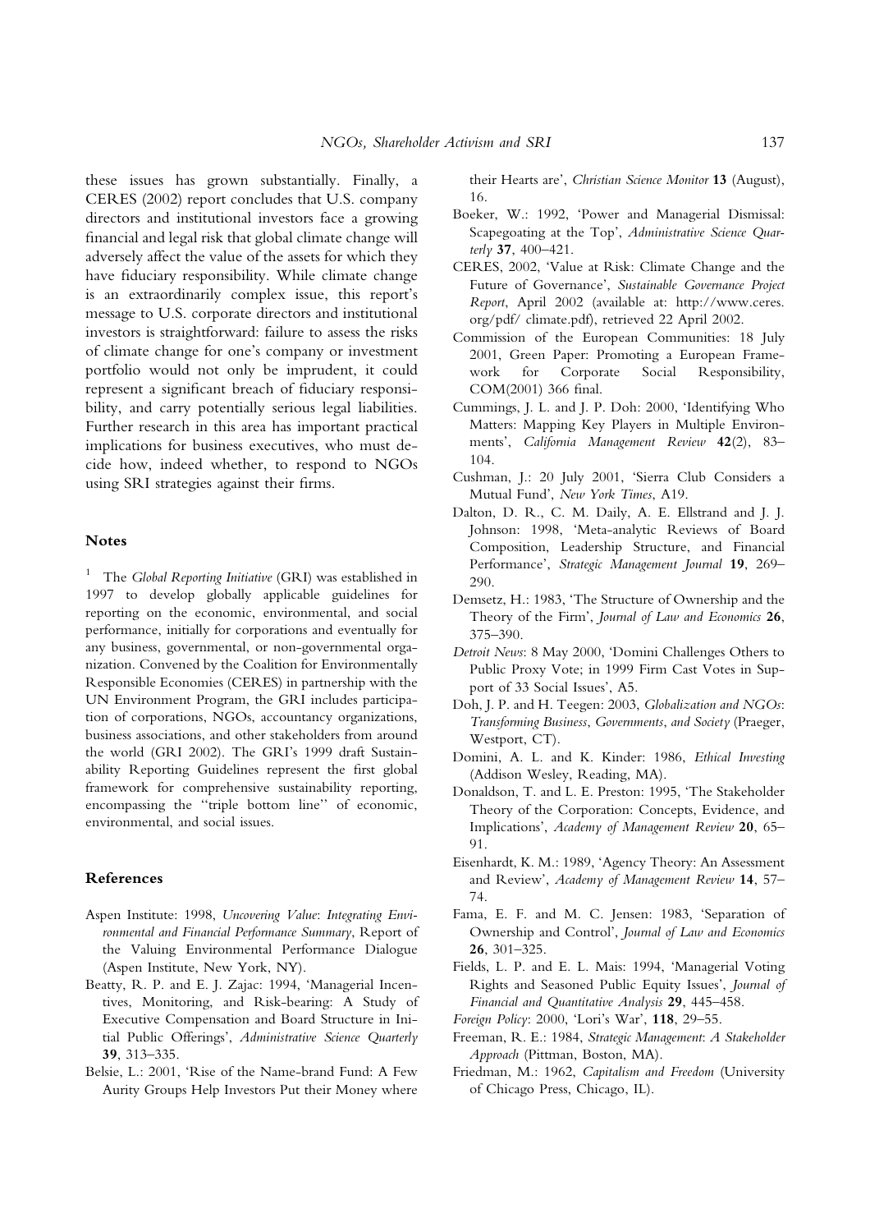these issues has grown substantially. Finally, a CERES (2002) report concludes that U.S. company directors and institutional investors face a growing financial and legal risk that global climate change will adversely affect the value of the assets for which they have fiduciary responsibility. While climate change is an extraordinarily complex issue, this report's message to U.S. corporate directors and institutional investors is straightforward: failure to assess the risks of climate change for one's company or investment portfolio would not only be imprudent, it could represent a significant breach of fiduciary responsibility, and carry potentially serious legal liabilities. Further research in this area has important practical implications for business executives, who must decide how, indeed whether, to respond to NGOs using SRI strategies against their firms.

## Notes

 $1$  The Global Reporting Initiative (GRI) was established in 1997 to develop globally applicable guidelines for reporting on the economic, environmental, and social performance, initially for corporations and eventually for any business, governmental, or non-governmental organization. Convened by the Coalition for Environmentally Responsible Economies (CERES) in partnership with the UN Environment Program, the GRI includes participation of corporations, NGOs, accountancy organizations, business associations, and other stakeholders from around the world (GRI 2002). The GRI's 1999 draft Sustainability Reporting Guidelines represent the first global framework for comprehensive sustainability reporting, encompassing the ''triple bottom line'' of economic, environmental, and social issues.

#### References

- Aspen Institute: 1998, Uncovering Value: Integrating Environmental and Financial Performance Summary, Report of the Valuing Environmental Performance Dialogue (Aspen Institute, New York, NY).
- Beatty, R. P. and E. J. Zajac: 1994, 'Managerial Incentives, Monitoring, and Risk-bearing: A Study of Executive Compensation and Board Structure in Initial Public Offerings', Administrative Science Quarterly 39, 313–335.
- Belsie, L.: 2001, 'Rise of the Name-brand Fund: A Few Aurity Groups Help Investors Put their Money where

their Hearts are', Christian Science Monitor 13 (August), 16.

- Boeker, W.: 1992, 'Power and Managerial Dismissal: Scapegoating at the Top', Administrative Science Quarterly 37, 400–421.
- CERES, 2002, 'Value at Risk: Climate Change and the Future of Governance', Sustainable Governance Project Report, April 2002 (available at: http://www.ceres. org/pdf/ climate.pdf), retrieved 22 April 2002.
- Commission of the European Communities: 18 July 2001, Green Paper: Promoting a European Framework for Corporate Social Responsibility, COM(2001) 366 final.
- Cummings, J. L. and J. P. Doh: 2000, 'Identifying Who Matters: Mapping Key Players in Multiple Environments', California Management Review 42(2), 83-104.
- Cushman, J.: 20 July 2001, 'Sierra Club Considers a Mutual Fund', New York Times, A19.
- Dalton, D. R., C. M. Daily, A. E. Ellstrand and J. J. Johnson: 1998, 'Meta-analytic Reviews of Board Composition, Leadership Structure, and Financial Performance', Strategic Management Journal 19, 269– 290.
- Demsetz, H.: 1983, 'The Structure of Ownership and the Theory of the Firm', Journal of Law and Economics 26, 375–390.
- Detroit News: 8 May 2000, 'Domini Challenges Others to Public Proxy Vote; in 1999 Firm Cast Votes in Support of 33 Social Issues', A5.
- Doh, J. P. and H. Teegen: 2003, Globalization and NGOs: Transforming Business, Governments, and Society (Praeger, Westport, CT).
- Domini, A. L. and K. Kinder: 1986, Ethical Investing (Addison Wesley, Reading, MA).
- Donaldson, T. and L. E. Preston: 1995, 'The Stakeholder Theory of the Corporation: Concepts, Evidence, and Implications', Academy of Management Review 20, 65– 91.
- Eisenhardt, K. M.: 1989, 'Agency Theory: An Assessment and Review', Academy of Management Review 14, 57– 74.
- Fama, E. F. and M. C. Jensen: 1983, 'Separation of Ownership and Control', Journal of Law and Economics 26, 301–325.
- Fields, L. P. and E. L. Mais: 1994, 'Managerial Voting Rights and Seasoned Public Equity Issues', Journal of Financial and Quantitative Analysis 29, 445–458.
- Foreign Policy: 2000, 'Lori's War', 118, 29–55.
- Freeman, R. E.: 1984, Strategic Management: A Stakeholder Approach (Pittman, Boston, MA).
- Friedman, M.: 1962, Capitalism and Freedom (University of Chicago Press, Chicago, IL).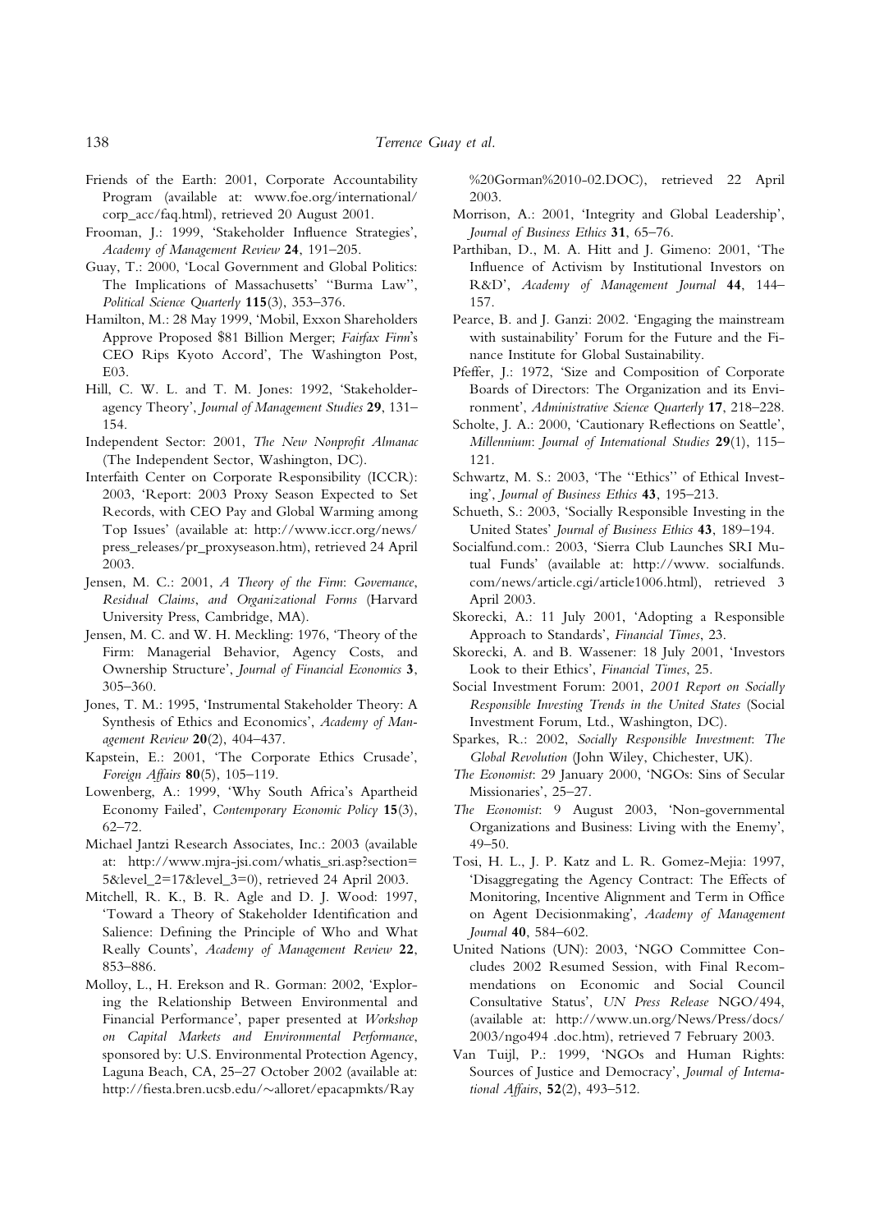- Friends of the Earth: 2001, Corporate Accountability Program (available at: www.foe.org/international/ corp\_acc/faq.html), retrieved 20 August 2001.
- Frooman, J.: 1999, 'Stakeholder Influence Strategies', Academy of Management Review 24, 191–205.
- Guay, T.: 2000, 'Local Government and Global Politics: The Implications of Massachusetts' ''Burma Law'', Political Science Quarterly 115(3), 353–376.
- Hamilton, M.: 28 May 1999, 'Mobil, Exxon Shareholders Approve Proposed \$81 Billion Merger; Fairfax Firm's CEO Rips Kyoto Accord', The Washington Post, E03.
- Hill, C. W. L. and T. M. Jones: 1992, 'Stakeholderagency Theory', Journal of Management Studies 29, 131– 154.
- Independent Sector: 2001, The New Nonprofit Almanac (The Independent Sector, Washington, DC).
- Interfaith Center on Corporate Responsibility (ICCR): 2003, 'Report: 2003 Proxy Season Expected to Set Records, with CEO Pay and Global Warming among Top Issues' (available at: http://www.iccr.org/news/ press\_releases/pr\_proxyseason.htm), retrieved 24 April 2003.
- Jensen, M. C.: 2001, A Theory of the Firm: Governance, Residual Claims, and Organizational Forms (Harvard University Press, Cambridge, MA).
- Jensen, M. C. and W. H. Meckling: 1976, 'Theory of the Firm: Managerial Behavior, Agency Costs, and Ownership Structure', Journal of Financial Economics 3, 305–360.
- Jones, T. M.: 1995, 'Instrumental Stakeholder Theory: A Synthesis of Ethics and Economics', Academy of Management Review 20(2), 404–437.
- Kapstein, E.: 2001, 'The Corporate Ethics Crusade', Foreign Affairs 80(5), 105–119.
- Lowenberg, A.: 1999, 'Why South Africa's Apartheid Economy Failed', Contemporary Economic Policy 15(3), 62–72.
- Michael Jantzi Research Associates, Inc.: 2003 (available at: http://www.mjra-jsi.com/whatis\_sri.asp?section= 5&level\_2=17&level\_3=0), retrieved 24 April 2003.
- Mitchell, R. K., B. R. Agle and D. J. Wood: 1997, 'Toward a Theory of Stakeholder Identification and Salience: Defining the Principle of Who and What Really Counts', Academy of Management Review 22, 853–886.
- Molloy, L., H. Erekson and R. Gorman: 2002, 'Exploring the Relationship Between Environmental and Financial Performance', paper presented at Workshop on Capital Markets and Environmental Performance, sponsored by: U.S. Environmental Protection Agency, Laguna Beach, CA, 25–27 October 2002 (available at: http://fiesta.bren.ucsb.edu/~alloret/epacapmkts/Ray

%20Gorman%2010-02.DOC), retrieved 22 April 2003.

- Morrison, A.: 2001, 'Integrity and Global Leadership', Journal of Business Ethics 31, 65–76.
- Parthiban, D., M. A. Hitt and J. Gimeno: 2001, 'The Influence of Activism by Institutional Investors on R&D', Academy of Management Journal 44, 144– 157.
- Pearce, B. and J. Ganzi: 2002. 'Engaging the mainstream with sustainability' Forum for the Future and the Finance Institute for Global Sustainability.
- Pfeffer, J.: 1972, 'Size and Composition of Corporate Boards of Directors: The Organization and its Environment', Administrative Science Quarterly 17, 218–228.
- Scholte, J. A.: 2000, 'Cautionary Reflections on Seattle', Millennium: Journal of International Studies 29(1), 115-121.
- Schwartz, M. S.: 2003, 'The ''Ethics'' of Ethical Investing', Journal of Business Ethics 43, 195–213.
- Schueth, S.: 2003, 'Socially Responsible Investing in the United States' Journal of Business Ethics 43, 189–194.
- Socialfund.com.: 2003, 'Sierra Club Launches SRI Mutual Funds' (available at: http://www. socialfunds. com/news/article.cgi/article1006.html), retrieved 3 April 2003.
- Skorecki, A.: 11 July 2001, 'Adopting a Responsible Approach to Standards', Financial Times, 23.
- Skorecki, A. and B. Wassener: 18 July 2001, 'Investors Look to their Ethics', Financial Times, 25.
- Social Investment Forum: 2001, 2001 Report on Socially Responsible Investing Trends in the United States (Social Investment Forum, Ltd., Washington, DC).
- Sparkes, R.: 2002, Socially Responsible Investment: The Global Revolution (John Wiley, Chichester, UK).
- The Economist: 29 January 2000, 'NGOs: Sins of Secular Missionaries', 25–27.
- The Economist: 9 August 2003, 'Non-governmental Organizations and Business: Living with the Enemy', 49–50.
- Tosi, H. L., J. P. Katz and L. R. Gomez-Mejia: 1997, 'Disaggregating the Agency Contract: The Effects of Monitoring, Incentive Alignment and Term in Office on Agent Decisionmaking', Academy of Management Journal 40, 584–602.
- United Nations (UN): 2003, 'NGO Committee Concludes 2002 Resumed Session, with Final Recommendations on Economic and Social Council Consultative Status', UN Press Release NGO/494, (available at: http://www.un.org/News/Press/docs/ 2003/ngo494 .doc.htm), retrieved 7 February 2003.
- Van Tuijl, P.: 1999, 'NGOs and Human Rights: Sources of Justice and Democracy', Journal of International Affairs, 52(2), 493–512.